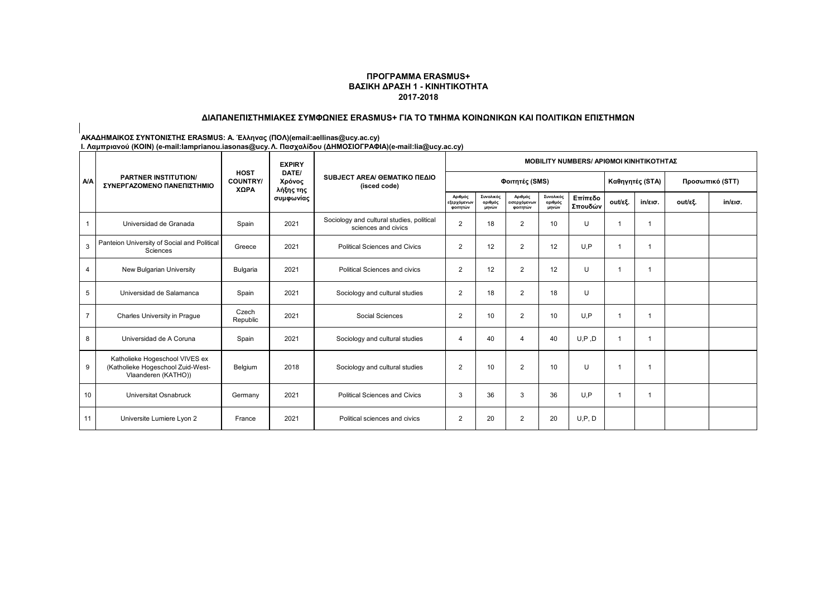#### **ΠΡΟΓΡΑΜΜΑ ERASMUS+ ΒΑΣΙΚΗ ΔΡΑΣΗ 1 - ΚΙΝΗΤΙΚΟΤΗΤΑ 2017-2018**

#### **ΔΙΑΠΑΝΕΠΙΣΤΗΜΙΑΚΕΣ ΣΥΜΦΩΝΙΕΣ ERASMUS+ ΓΙΑ ΤΟ ΤΜΗΜΑ ΚΟΙΝΩΝΙΚΩΝ ΚΑΙ ΠΟΛΙΤΙΚΩΝ ΕΠΙΣΤΗΜΩΝ**

#### **ΑΚΑΔΗΜΑΙΚΟΣ ΣΥΝΤΟΝΙΣΤΗΣ ERASMUS: Α. Έλληνας (ΠΟΛ)(email:aellinas@ucy.ac.cy)**

|                | <b>PARTNER INSTITUTION/</b><br>ΣΥΝΕΡΓΑΖΟΜΕΝΟ ΠΑΝΕΠΙΣΤΗΜΙΟ                                  |                                        | <b>EXPIRY</b>                             |                                                                  | <b>MOBILITY NUMBERS/ ΑΡΙΘΜΟΙ ΚΙΝΗΤΙΚΟΤΗΤΑΣ</b> |                               |                                     |                               |                    |                |                   |                 |                   |  |
|----------------|--------------------------------------------------------------------------------------------|----------------------------------------|-------------------------------------------|------------------------------------------------------------------|------------------------------------------------|-------------------------------|-------------------------------------|-------------------------------|--------------------|----------------|-------------------|-----------------|-------------------|--|
| <b>A/A</b>     |                                                                                            | <b>HOST</b><br><b>COUNTRY/</b><br>ΧΩΡΑ | DATE/<br>Χρόνος<br>λήξης της<br>συμφωνίας | SUBJECT AREA/ GEMATIKO ΠΕΔΙΟ<br>(isced code)                     |                                                |                               | Φοιτητές (SMS)                      |                               |                    |                | Καθηγητές (STA)   | Προσωπικό (STT) |                   |  |
|                |                                                                                            |                                        |                                           |                                                                  | Αριθμός<br>εξερχόμενων<br>φοιτητών             | Συνολικός<br>αριθμός<br>μηνών | Αριθμός<br>εισερχόμενων<br>φοιτητών | Συνολικός<br>αριθμός<br>μηνών | Επίπεδο<br>Σπουδών | out/εξ.        | $in/\epsilon$ ισ. | out/εξ.         | $in/\epsilon$ ισ. |  |
|                | Universidad de Granada                                                                     | Spain                                  | 2021                                      | Sociology and cultural studies, political<br>sciences and civics | $\overline{2}$                                 | 18                            | 2                                   | 10                            | U                  |                |                   |                 |                   |  |
| 3              | Panteion University of Social and Political<br>Sciences                                    | Greece                                 | 2021                                      | <b>Political Sciences and Civics</b>                             | $\overline{2}$                                 | 12                            | $\overline{2}$                      | 12                            | U.P                |                |                   |                 |                   |  |
| 4              | New Bulgarian University                                                                   | Bulgaria                               | 2021                                      | Political Sciences and civics                                    | $\overline{2}$                                 | 12                            | 2                                   | 12                            | U                  | -1             |                   |                 |                   |  |
| 5              | Universidad de Salamanca                                                                   | Spain                                  | 2021                                      | Sociology and cultural studies                                   | 2                                              | 18                            | 2                                   | 18                            | U                  |                |                   |                 |                   |  |
| $\overline{7}$ | Charles University in Prague                                                               | Czech<br>Republic                      | 2021                                      | Social Sciences                                                  | $\overline{2}$                                 | 10                            | $\overline{2}$                      | 10                            | U.P                | -1             |                   |                 |                   |  |
| 8              | Universidad de A Coruna                                                                    | Spain                                  | 2021                                      | Sociology and cultural studies                                   | $\overline{4}$                                 | 40                            |                                     | 40                            | U, P, D            | $\overline{1}$ |                   |                 |                   |  |
| 9              | Katholieke Hogeschool VIVES ex<br>(Katholieke Hogeschool Zuid-West-<br>Vlaanderen (KATHO)) | Belgium                                | 2018                                      | Sociology and cultural studies                                   | $\overline{2}$                                 | 10                            | 2                                   | 10                            | U                  | -1             |                   |                 |                   |  |
| 10             | Universitat Osnabruck                                                                      | Germany                                | 2021                                      | <b>Political Sciences and Civics</b>                             | 3                                              | 36                            | 3                                   | 36                            | U.P                | -1             |                   |                 |                   |  |
| 11             | Universite Lumiere Lyon 2                                                                  | France                                 | 2021                                      | Political sciences and civics                                    | $\overline{2}$                                 | 20                            | 2                                   | 20                            | U, P, D            |                |                   |                 |                   |  |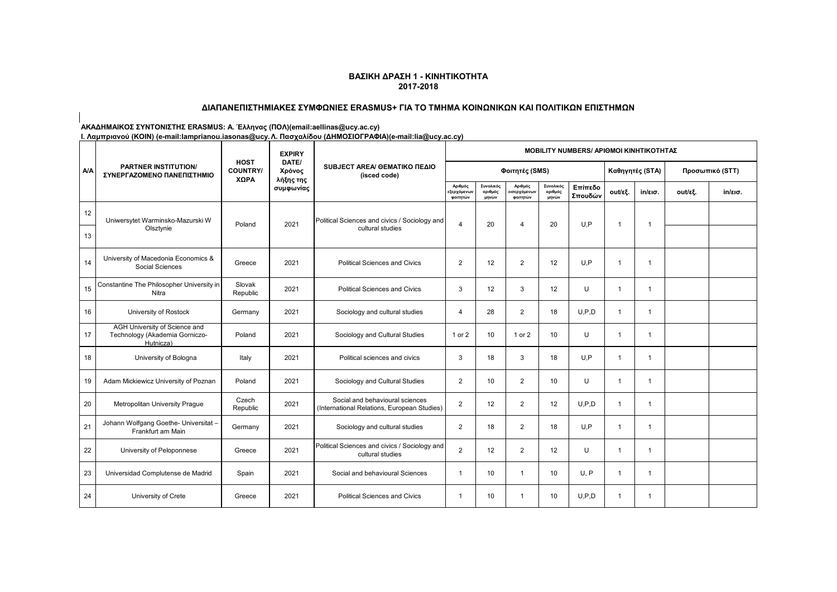# **ΔΙΑΠΑΝΕΠΙΣΤΗΜΙΑΚΕΣ ΣΥΜΦΩΝΙΕΣ ERASMUS+ ΓΙΑ ΤΟ ΤΜΗΜΑ ΚΟΙΝΩΝΙΚΩΝ ΚΑΙ ΠΟΛΙΤΙΚΩΝ ΕΠΙΣΤΗΜΩΝ**

**ΑΚΑΔΗΜΑΙΚΟΣ ΣΥΝΤΟΝΙΣΤΗΣ ERASMUS: Α. Έλληνας (ΠΟΛ)(email:aellinas@ucy.ac.cy)**

|            |                                                                              |                                        | <b>EXPIRY</b>                |                                                                                | <b>MOBILITY NUMBERS/ APIOMOI KINHTIKOTHTAZ</b> |                               |                                    |                               |                    |                |                   |                 |                   |  |  |
|------------|------------------------------------------------------------------------------|----------------------------------------|------------------------------|--------------------------------------------------------------------------------|------------------------------------------------|-------------------------------|------------------------------------|-------------------------------|--------------------|----------------|-------------------|-----------------|-------------------|--|--|
| <b>A/A</b> | <b>PARTNER INSTITUTION/</b><br>ΣΥΝΕΡΓΑΖΟΜΕΝΟ ΠΑΝΕΠΙΣΤΗΜΙΟ                    | <b>HOST</b><br><b>COUNTRY/</b><br>ΧΩΡΑ | DATE/<br>Χρόνος<br>λήξης της | SUBJECT AREA/ GEMATIKO ΠΕΔΙΟ<br>(isced code)                                   |                                                |                               | Φοιτητές (SMS)                     |                               |                    |                | Καθηγητές (STA)   | Προσωπικό (STT) |                   |  |  |
|            |                                                                              |                                        | συμφωνίας                    |                                                                                | Αριθμός<br><b>εξερχόμενω</b> ν<br>φοιτητών     | Συνολικός<br>αριθμός<br>μηνών | Αριθμός<br>ισερχόμενων<br>φοιτητών | Συνολικός<br>αριθμός<br>μηνών | Επίπεδο<br>Σπουδών | out/εξ.        | $in/\epsilon$ ισ. | out/εξ.         | $in/\epsilon$ ισ. |  |  |
| 12         | Uniwersytet Warminsko-Mazurski W                                             |                                        | 2021                         | Political Sciences and civics / Sociology and                                  | $\overline{4}$                                 | 20                            | 4                                  |                               | U.P                | $\overline{1}$ |                   |                 |                   |  |  |
| 13         | Olsztynie                                                                    | Poland                                 |                              | cultural studies                                                               |                                                |                               |                                    | 20                            |                    |                | $\overline{1}$    |                 |                   |  |  |
| 14         | University of Macedonia Economics &<br>Social Sciences                       | Greece                                 | 2021                         | <b>Political Sciences and Civics</b>                                           | $\overline{2}$                                 | 12                            | $\overline{2}$                     | 12                            | U.P                | -1             | 1                 |                 |                   |  |  |
| 15         | Constantine The Philosopher University in<br>Nitra                           | Slovak<br>Republic                     | 2021                         | <b>Political Sciences and Civics</b>                                           | 3                                              | 12                            | 3                                  | 12                            | U                  | $\overline{1}$ | $\mathbf{1}$      |                 |                   |  |  |
| 16         | University of Rostock                                                        | Germany                                | 2021                         | Sociology and cultural studies                                                 | $\overline{4}$                                 | 28                            | $\overline{2}$                     | 18                            | U.P.D              | $\overline{1}$ | $\mathbf{1}$      |                 |                   |  |  |
| 17         | AGH University of Science and<br>Technology (Akademia Gorniczo-<br>Hutnicza) | Poland                                 | 2021                         | Sociology and Cultural Studies                                                 | 1 or 2                                         | 10                            | 1 or 2                             | 10                            | U                  | $\overline{1}$ | $\mathbf{1}$      |                 |                   |  |  |
| 18         | University of Bologna                                                        | Italy                                  | 2021                         | Political sciences and civics                                                  | 3                                              | 18                            | 3                                  | 18                            | U.P                | $\overline{1}$ | $\mathbf{1}$      |                 |                   |  |  |
| 19         | Adam Mickiewicz University of Poznan                                         | Poland                                 | 2021                         | Sociology and Cultural Studies                                                 | $\overline{2}$                                 | 10                            | $\overline{2}$                     | 10                            | U                  | $\overline{1}$ | $\mathbf{1}$      |                 |                   |  |  |
| 20         | Metropolitan University Prague                                               | Czech<br>Republic                      | 2021                         | Social and behavioural sciences<br>(International Relations, European Studies) | $\overline{2}$                                 | 12                            | $\overline{2}$                     | 12                            | U.P.D              | $\overline{1}$ | $\mathbf{1}$      |                 |                   |  |  |
| 21         | Johann Wolfgang Goethe- Universitat -<br>Frankfurt am Main                   | Germany                                | 2021                         | Sociology and cultural studies                                                 | $\overline{2}$                                 | 18                            | $\overline{2}$                     | 18                            | U.P                | $\overline{1}$ | 1                 |                 |                   |  |  |
| 22         | University of Peloponnese                                                    | Greece                                 | 2021                         | Political Sciences and civics / Sociology and<br>cultural studies              | $\overline{2}$                                 | 12                            | $\overline{2}$                     | 12                            | U                  | $\overline{1}$ | $\mathbf{1}$      |                 |                   |  |  |
| 23         | Universidad Complutense de Madrid                                            | Spain                                  | 2021                         | Social and behavioural Sciences                                                | $\mathbf{1}$                                   | 10                            | 1                                  | 10                            | U, P               | $\overline{1}$ | $\mathbf{1}$      |                 |                   |  |  |
| 24         | University of Crete                                                          | Greece                                 | 2021                         | <b>Political Sciences and Civics</b>                                           | -1                                             | 10                            | -1                                 | 10                            | U.P.D              | -1             | $\mathbf{1}$      |                 |                   |  |  |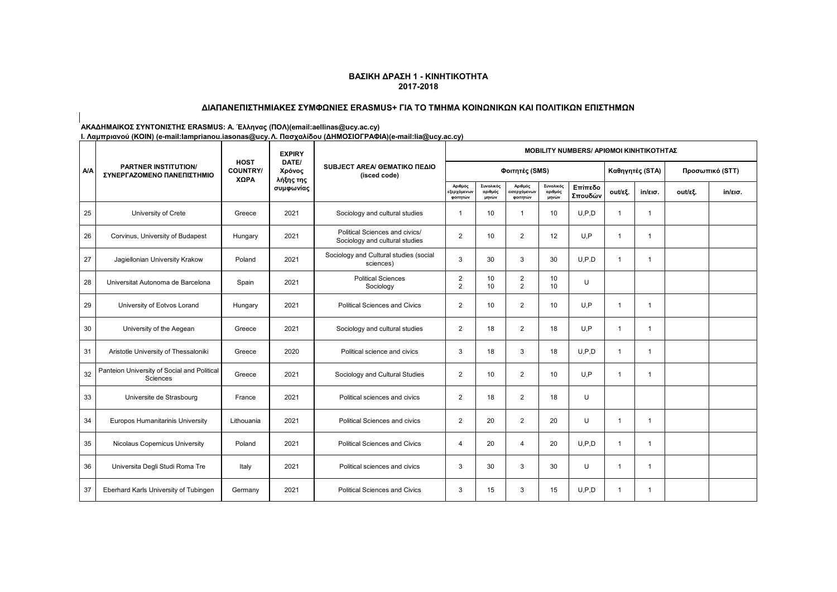# **ΔΙΑΠΑΝΕΠΙΣΤΗΜΙΑΚΕΣ ΣΥΜΦΩΝΙΕΣ ERASMUS+ ΓΙΑ ΤΟ ΤΜΗΜΑ ΚΟΙΝΩΝΙΚΩΝ ΚΑΙ ΠΟΛΙΤΙΚΩΝ ΕΠΙΣΤΗΜΩΝ**

**ΑΚΑΔΗΜΑΙΚΟΣ ΣΥΝΤΟΝΙΣΤΗΣ ERASMUS: Α. Έλληνας (ΠΟΛ)(email:aellinas@ucy.ac.cy)**

|            |                                                           |                                        | <b>EXPIRY</b>                |                                                                  | <b>MOBILITY NUMBERS/ APIOMOI ΚΙΝΗΤΙΚΟΤΗΤΑΣ</b>   |                               |                                     |                               |                    |                 |                 |         |                   |  |
|------------|-----------------------------------------------------------|----------------------------------------|------------------------------|------------------------------------------------------------------|--------------------------------------------------|-------------------------------|-------------------------------------|-------------------------------|--------------------|-----------------|-----------------|---------|-------------------|--|
| <b>A/A</b> | <b>PARTNER INSTITUTION/</b><br>ΣΥΝΕΡΓΑΖΟΜΕΝΟ ΠΑΝΕΠΙΣΤΗΜΙΟ | <b>HOST</b><br><b>COUNTRY/</b><br>ΧΩΡΑ | DATE/<br>Χρόνος<br>λήξης της | SUBJECT AREA/ GEMATIKO ΠΕΔΙΟ<br>(isced code)                     |                                                  |                               | Φοιτητές (SMS)                      |                               |                    | Καθηγητές (STA) | Προσωπικό (STT) |         |                   |  |
|            |                                                           |                                        | συμφωνίας                    |                                                                  | Αριθμός<br>:ξερχόμενω <mark>ι</mark><br>φοιτητών | Συνολικός<br>αριθμός<br>μηνών | Αριθμός<br>ιισερχόμενων<br>φοιτητών | Συνολικός<br>αριθμός<br>μηνών | Επίπεδο<br>Σπουδών | out/εξ.         | in/εισ.         | out/εξ. | $in/\epsilon$ ισ. |  |
| 25         | University of Crete                                       | Greece                                 | 2021                         | Sociology and cultural studies                                   | -1                                               | 10                            | -1                                  | 10                            | U.P.D              | $\overline{1}$  | $\mathbf{1}$    |         |                   |  |
| 26         | Corvinus, University of Budapest                          | Hungary                                | 2021                         | Political Sciences and civics/<br>Sociology and cultural studies | $\overline{2}$                                   | 10                            | $\overline{2}$                      | 12                            | U, P               | $\mathbf{1}$    | $\mathbf{1}$    |         |                   |  |
| 27         | Jagiellonian University Krakow                            | Poland                                 | 2021                         | Sociology and Cultural studies (social<br>sciences)              | 3                                                | 30                            | 3                                   | 30                            | U.P.D              | -1              | 1               |         |                   |  |
| 28         | Universitat Autonoma de Barcelona                         | Spain                                  | 2021                         | <b>Political Sciences</b><br>Sociology                           | $\overline{2}$<br>2                              | 10<br>10                      | 2<br>$\overline{2}$                 | 10<br>10                      | U                  |                 |                 |         |                   |  |
| 29         | University of Eotvos Lorand                               | Hungary                                | 2021                         | <b>Political Sciences and Civics</b>                             | $\overline{2}$                                   | 10                            | $\overline{2}$                      | 10                            | U.P                | $\overline{1}$  | $\mathbf{1}$    |         |                   |  |
| 30         | University of the Aegean                                  | Greece                                 | 2021                         | Sociology and cultural studies                                   | $\overline{2}$                                   | 18                            | $\overline{2}$                      | 18                            | U.P                | $\overline{1}$  | $\mathbf{1}$    |         |                   |  |
| 31         | Aristotle University of Thessaloniki                      | Greece                                 | 2020                         | Political science and civics                                     | 3                                                | 18                            | 3                                   | 18                            | U.P.D              | $\overline{1}$  | $\mathbf{1}$    |         |                   |  |
| 32         | Panteion University of Social and Political<br>Sciences   | Greece                                 | 2021                         | Sociology and Cultural Studies                                   | $\overline{2}$                                   | 10                            | $\overline{2}$                      | 10                            | U.P                | -1              | $\mathbf{1}$    |         |                   |  |
| 33         | Universite de Strasbourg                                  | France                                 | 2021                         | Political sciences and civics                                    | $\overline{2}$                                   | 18                            | $\overline{2}$                      | 18                            | U                  |                 |                 |         |                   |  |
| 34         | Europos Humanitarinis University                          | Lithouania                             | 2021                         | Political Sciences and civics                                    | $\overline{2}$                                   | 20                            | $\overline{2}$                      | 20                            | U                  | $\overline{1}$  | $\mathbf 1$     |         |                   |  |
| 35         | Nicolaus Copernicus University                            | Poland                                 | 2021                         | <b>Political Sciences and Civics</b>                             | $\overline{4}$                                   | 20                            | $\overline{4}$                      | 20                            | U.P.D              | $\overline{1}$  | $\mathbf{1}$    |         |                   |  |
| 36         | Universita Degli Studi Roma Tre                           | Italy                                  | 2021                         | Political sciences and civics                                    | 3                                                | 30                            | 3                                   | 30                            | U                  | $\overline{1}$  | $\mathbf{1}$    |         |                   |  |
| 37         | Eberhard Karls University of Tubingen                     | Germany                                | 2021                         | Political Sciences and Civics                                    | 3                                                | 15                            | 3                                   | 15                            | U.P.D              | -1              | $\mathbf 1$     |         |                   |  |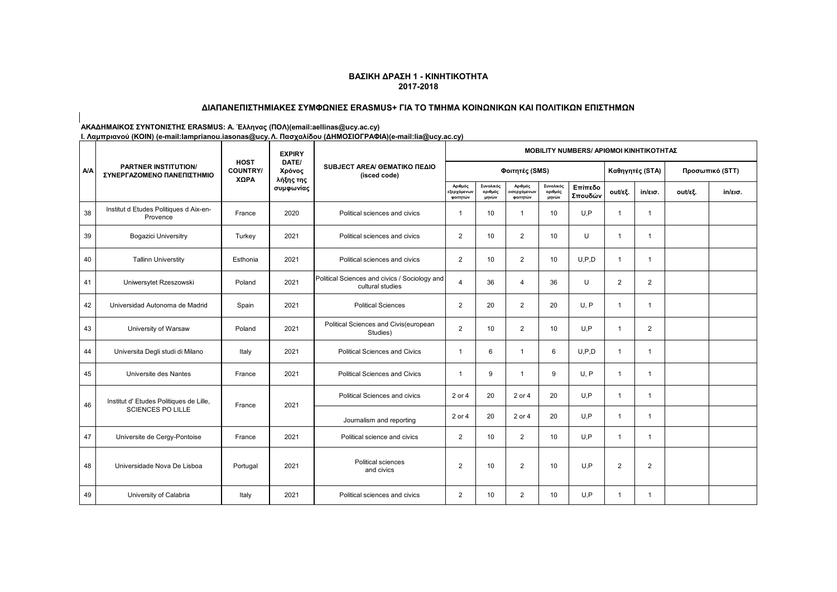# **ΔΙΑΠΑΝΕΠΙΣΤΗΜΙΑΚΕΣ ΣΥΜΦΩΝΙΕΣ ERASMUS+ ΓΙΑ ΤΟ ΤΜΗΜΑ ΚΟΙΝΩΝΙΚΩΝ ΚΑΙ ΠΟΛΙΤΙΚΩΝ ΕΠΙΣΤΗΜΩΝ**

**ΑΚΑΔΗΜΑΙΚΟΣ ΣΥΝΤΟΝΙΣΤΗΣ ERASMUS: Α. Έλληνας (ΠΟΛ)(email:aellinas@ucy.ac.cy)**

|            |                                                           |                                        | <b>EXPIRY</b><br>DATE/<br>Χρόνος<br>λήξης της<br>συμφωνίας |                                                                   | <b>MOBILITY NUMBERS/ APIOMOI KINHTIKOTHTAΣ</b>   |                               |                                     |                               |                    |                 |                   |         |                   |  |
|------------|-----------------------------------------------------------|----------------------------------------|------------------------------------------------------------|-------------------------------------------------------------------|--------------------------------------------------|-------------------------------|-------------------------------------|-------------------------------|--------------------|-----------------|-------------------|---------|-------------------|--|
| <b>A/A</b> | <b>PARTNER INSTITUTION/</b><br>ΣΥΝΕΡΓΑΖΟΜΕΝΟ ΠΑΝΕΠΙΣΤΗΜΙΟ | <b>HOST</b><br><b>COUNTRY/</b><br>ΧΩΡΑ |                                                            | SUBJECT AREA/ GEMATIKO ΠΕΔΙΟ<br>(isced code)                      |                                                  |                               | Φοιτητές (SMS)                      |                               |                    | Καθηγητές (STA) | Προσωπικό (STT)   |         |                   |  |
|            |                                                           |                                        |                                                            |                                                                   | Αριθμός<br>:ξερχόμενω <mark>ι</mark><br>φοιτητών | Συνολικός<br>αριθμός<br>μηνών | Αριθμός<br>ιισερχόμενων<br>φοιτητών | Συνολικός<br>αριθμός<br>μηνών | Επίπεδο<br>Σπουδών | out/εξ.         | $in/\epsilon$ ισ. | out/εξ. | $in/\epsilon$ ισ. |  |
| 38         | Institut d Etudes Politiques d Aix-en-<br>Provence        | France                                 | 2020                                                       | Political sciences and civics                                     | $\mathbf{1}$                                     | 10                            | 1                                   | 10                            | U.P                | $\overline{1}$  | $\mathbf{1}$      |         |                   |  |
| 39         | <b>Bogazici Universitry</b>                               | Turkey                                 | 2021                                                       | Political sciences and civics                                     | $\overline{2}$                                   | 10                            | $\overline{2}$                      | 10                            | U                  | -1              | -1                |         |                   |  |
| 40         | <b>Tallinn Universtity</b>                                | Esthonia                               | 2021                                                       | Political sciences and civics                                     | $\overline{2}$                                   | 10                            | $\overline{2}$                      | 10                            | U.P.D              | $\overline{1}$  | $\mathbf{1}$      |         |                   |  |
| 41         | Uniwersytet Rzeszowski                                    | Poland                                 | 2021                                                       | Political Sciences and civics / Sociology and<br>cultural studies | $\overline{4}$                                   | 36                            | 4                                   | 36                            | U                  | $\overline{2}$  | $\overline{2}$    |         |                   |  |
| 42         | Universidad Autonoma de Madrid                            | Spain                                  | 2021                                                       | <b>Political Sciences</b>                                         | 2                                                | 20                            | $\overline{2}$                      | 20                            | U, P               | $\mathbf{1}$    | $\mathbf{1}$      |         |                   |  |
| 43         | University of Warsaw                                      | Poland                                 | 2021                                                       | Political Sciences and Civis(european<br>Studies)                 | 2                                                | 10                            | $\overline{2}$                      | 10                            | U.P                | $\overline{1}$  | $\overline{2}$    |         |                   |  |
| 44         | Universita Degli studi di Milano                          | Italy                                  | 2021                                                       | <b>Political Sciences and Civics</b>                              | $\overline{1}$                                   | 6                             | 1                                   | 6                             | U.P.D              | $\overline{1}$  | $\mathbf{1}$      |         |                   |  |
| 45         | Universite des Nantes                                     | France                                 | 2021                                                       | <b>Political Sciences and Civics</b>                              | $\overline{1}$                                   | 9                             | $\mathbf 1$                         | 9                             | U, P               | $\overline{1}$  | $\mathbf{1}$      |         |                   |  |
| 46         | Institut d' Etudes Politiques de Lille,                   |                                        | 2021                                                       | Political Sciences and civics                                     | 2 or 4                                           | 20                            | 2 or 4                              | 20                            | U.P                | $\overline{1}$  | $\mathbf{1}$      |         |                   |  |
|            | <b>SCIENCES PO LILLE</b>                                  | France                                 |                                                            | Journalism and reporting                                          | 2 or 4                                           | 20                            | 2 or 4                              | 20                            | U.P                | $\overline{1}$  | $\mathbf{1}$      |         |                   |  |
| 47         | Universite de Cergy-Pontoise                              | France                                 | 2021                                                       | Political science and civics                                      | 2                                                | 10                            | $\overline{2}$                      | 10                            | U.P                | $\overline{1}$  | $\mathbf{1}$      |         |                   |  |
| 48         | Universidade Nova De Lisboa                               | Portugal                               | 2021                                                       | Political sciences<br>and civics                                  | $\overline{2}$                                   | 10                            | $\overline{2}$                      | 10                            | U.P                | $\overline{2}$  | $\overline{2}$    |         |                   |  |
| 49         | University of Calabria                                    | Italy                                  | 2021                                                       | Political sciences and civics                                     | $\overline{2}$                                   | 10                            | $\overline{2}$                      | 10                            | U,P                | $\overline{1}$  | 1                 |         |                   |  |